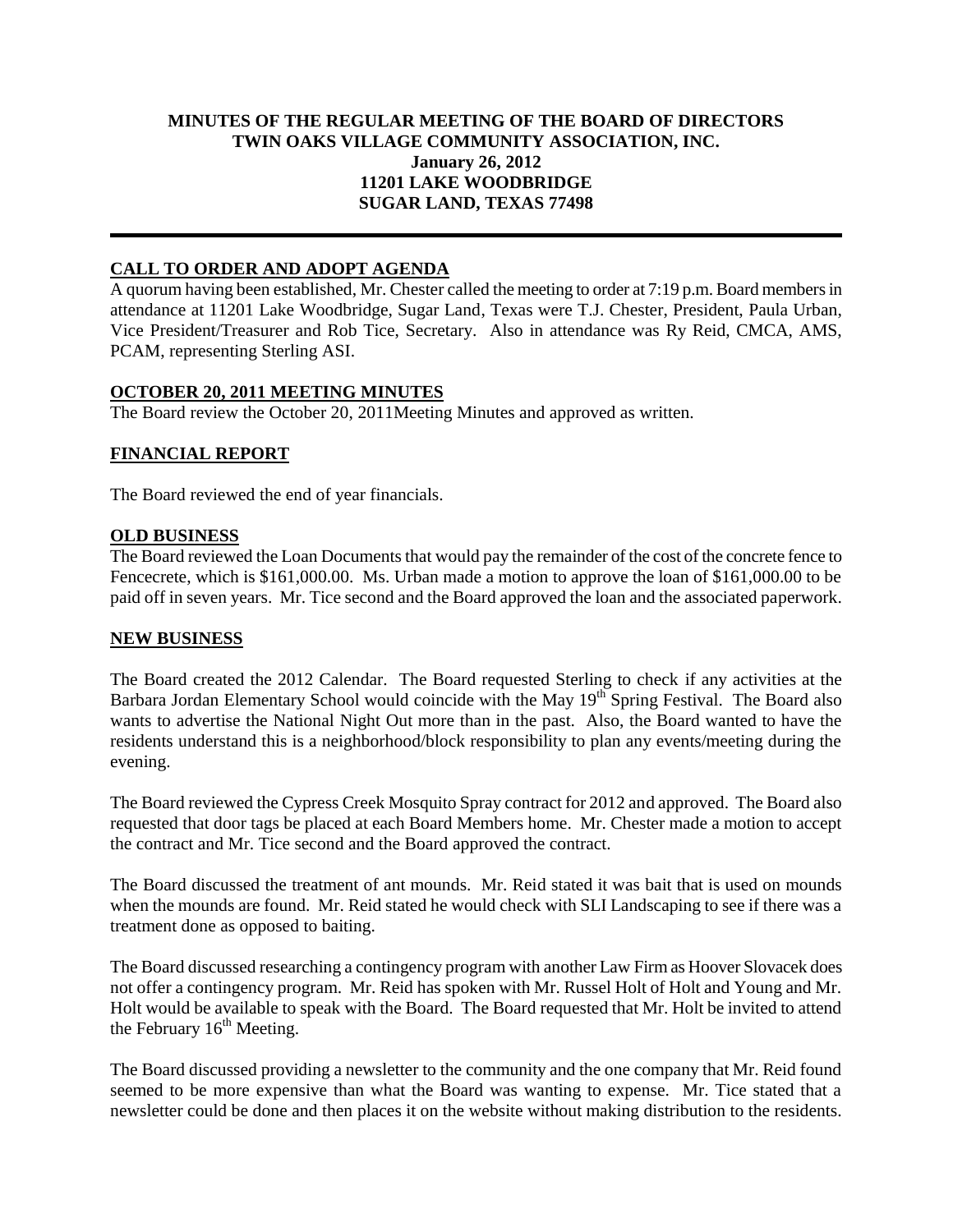## **MINUTES OF THE REGULAR MEETING OF THE BOARD OF DIRECTORS TWIN OAKS VILLAGE COMMUNITY ASSOCIATION, INC. January 26, 2012 11201 LAKE WOODBRIDGE SUGAR LAND, TEXAS 77498**

# **CALL TO ORDER AND ADOPT AGENDA**

A quorum having been established, Mr. Chester called the meeting to order at 7:19 p.m. Board members in attendance at 11201 Lake Woodbridge, Sugar Land, Texas were T.J. Chester, President, Paula Urban, Vice President/Treasurer and Rob Tice, Secretary. Also in attendance was Ry Reid, CMCA, AMS, PCAM, representing Sterling ASI.

### **OCTOBER 20, 2011 MEETING MINUTES**

The Board review the October 20, 2011Meeting Minutes and approved as written.

## **FINANCIAL REPORT**

The Board reviewed the end of year financials.

### **OLD BUSINESS**

The Board reviewed the Loan Documents that would pay the remainder of the cost of the concrete fence to Fencecrete, which is \$161,000.00. Ms. Urban made a motion to approve the loan of \$161,000.00 to be paid off in seven years. Mr. Tice second and the Board approved the loan and the associated paperwork.

#### **NEW BUSINESS**

The Board created the 2012 Calendar. The Board requested Sterling to check if any activities at the Barbara Jordan Elementary School would coincide with the May 19<sup>th</sup> Spring Festival. The Board also wants to advertise the National Night Out more than in the past. Also, the Board wanted to have the residents understand this is a neighborhood/block responsibility to plan any events/meeting during the evening.

The Board reviewed the Cypress Creek Mosquito Spray contract for 2012 and approved. The Board also requested that door tags be placed at each Board Members home. Mr. Chester made a motion to accept the contract and Mr. Tice second and the Board approved the contract.

The Board discussed the treatment of ant mounds. Mr. Reid stated it was bait that is used on mounds when the mounds are found. Mr. Reid stated he would check with SLI Landscaping to see if there was a treatment done as opposed to baiting.

The Board discussed researching a contingency program with another Law Firm as Hoover Slovacek does not offer a contingency program. Mr. Reid has spoken with Mr. Russel Holt of Holt and Young and Mr. Holt would be available to speak with the Board. The Board requested that Mr. Holt be invited to attend the February  $16<sup>th</sup>$  Meeting.

The Board discussed providing a newsletter to the community and the one company that Mr. Reid found seemed to be more expensive than what the Board was wanting to expense. Mr. Tice stated that a newsletter could be done and then places it on the website without making distribution to the residents.